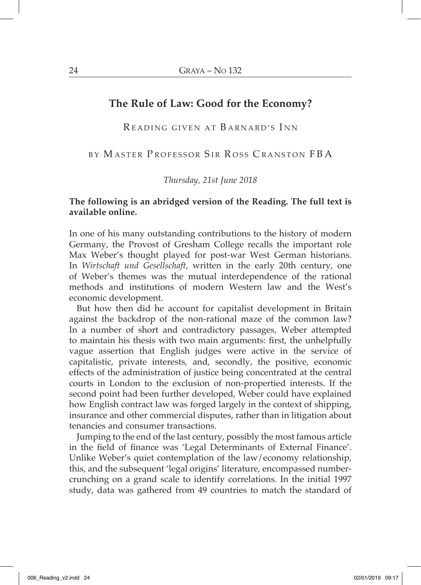# **The Rule of Law: Good for the Economy?**

READING GIVEN AT BARNARD'S INN

BY MASTER PROFESSOR SIR ROSS CRANSTON FBA

*Thursday, 21st June 2018*

#### **The following is an abridged version of the Reading. The full text is available online.**

In one of his many outstanding contributions to the history of modern Germany, the Provost of Gresham College recalls the important role Max Weber's thought played for post-war West German historians. In *Wirtschaft und Gesellschaft*, written in the early 20th century, one of Weber's themes was the mutual interdependence of the rational methods and institutions of modern Western law and the West's economic development.

But how then did he account for capitalist development in Britain against the backdrop of the non-rational maze of the common law? In a number of short and contradictory passages, Weber attempted to maintain his thesis with two main arguments: first, the unhelpfully vague assertion that English judges were active in the service of capitalistic, private interests, and, secondly, the positive, economic effects of the administration of justice being concentrated at the central courts in London to the exclusion of non-propertied interests. If the second point had been further developed, Weber could have explained how English contract law was forged largely in the context of shipping, insurance and other commercial disputes, rather than in litigation about tenancies and consumer transactions.

Jumping to the end of the last century, possibly the most famous article in the field of finance was 'Legal Determinants of External Finance'. Unlike Weber's quiet contemplation of the law/economy relationship, this, and the subsequent 'legal origins' literature, encompassed numbercrunching on a grand scale to identify correlations. In the initial 1997 study, data was gathered from 49 countries to match the standard of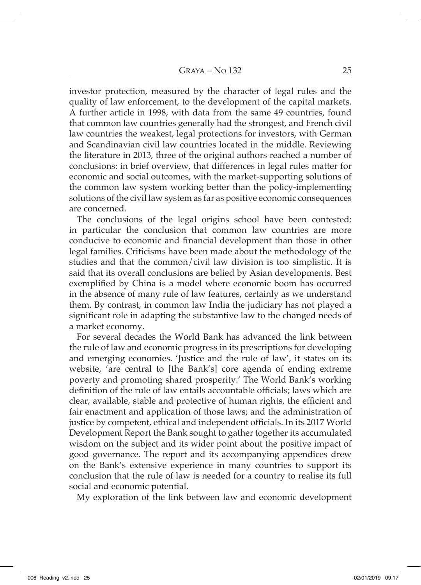investor protection, measured by the character of legal rules and the quality of law enforcement, to the development of the capital markets. A further article in 1998, with data from the same 49 countries, found that common law countries generally had the strongest, and French civil law countries the weakest, legal protections for investors, with German and Scandinavian civil law countries located in the middle. Reviewing the literature in 2013, three of the original authors reached a number of conclusions: in brief overview, that differences in legal rules matter for economic and social outcomes, with the market-supporting solutions of the common law system working better than the policy-implementing solutions of the civil law system as far as positive economic consequences are concerned.

The conclusions of the legal origins school have been contested: in particular the conclusion that common law countries are more conducive to economic and financial development than those in other legal families. Criticisms have been made about the methodology of the studies and that the common/civil law division is too simplistic. It is said that its overall conclusions are belied by Asian developments. Best exemplified by China is a model where economic boom has occurred in the absence of many rule of law features, certainly as we understand them. By contrast, in common law India the judiciary has not played a significant role in adapting the substantive law to the changed needs of a market economy.

For several decades the World Bank has advanced the link between the rule of law and economic progress in its prescriptions for developing and emerging economies. 'Justice and the rule of law', it states on its website, 'are central to [the Bank's] core agenda of ending extreme poverty and promoting shared prosperity.' The World Bank's working definition of the rule of law entails accountable officials; laws which are clear, available, stable and protective of human rights, the efficient and fair enactment and application of those laws; and the administration of justice by competent, ethical and independent officials. In its 2017 World Development Report the Bank sought to gather together its accumulated wisdom on the subject and its wider point about the positive impact of good governance. The report and its accompanying appendices drew on the Bank's extensive experience in many countries to support its conclusion that the rule of law is needed for a country to realise its full social and economic potential.

My exploration of the link between law and economic development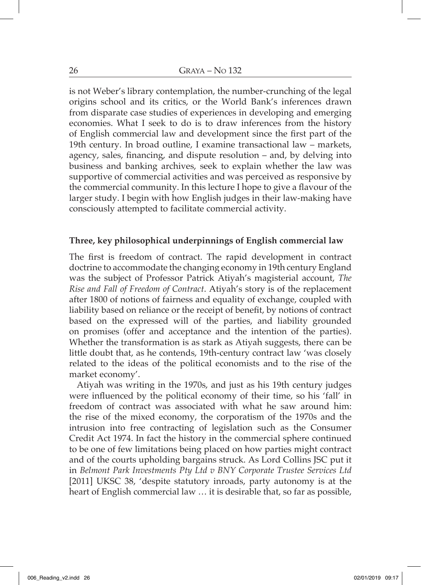is not Weber's library contemplation, the number-crunching of the legal origins school and its critics, or the World Bank's inferences drawn from disparate case studies of experiences in developing and emerging economies. What I seek to do is to draw inferences from the history of English commercial law and development since the first part of the 19th century. In broad outline, I examine transactional law – markets, agency, sales, financing, and dispute resolution – and, by delving into business and banking archives, seek to explain whether the law was supportive of commercial activities and was perceived as responsive by the commercial community. In this lecture I hope to give a flavour of the larger study. I begin with how English judges in their law-making have consciously attempted to facilitate commercial activity.

### **Three, key philosophical underpinnings of English commercial law**

The first is freedom of contract. The rapid development in contract doctrine to accommodate the changing economy in 19th century England was the subject of Professor Patrick Atiyah's magisterial account, *The Rise and Fall of Freedom of Contract*. Atiyah's story is of the replacement after 1800 of notions of fairness and equality of exchange, coupled with liability based on reliance or the receipt of benefit, by notions of contract based on the expressed will of the parties, and liability grounded on promises (offer and acceptance and the intention of the parties). Whether the transformation is as stark as Atiyah suggests, there can be little doubt that, as he contends, 19th-century contract law 'was closely related to the ideas of the political economists and to the rise of the market economy'.

Atiyah was writing in the 1970s, and just as his 19th century judges were influenced by the political economy of their time, so his 'fall' in freedom of contract was associated with what he saw around him: the rise of the mixed economy, the corporatism of the 1970s and the intrusion into free contracting of legislation such as the Consumer Credit Act 1974. In fact the history in the commercial sphere continued to be one of few limitations being placed on how parties might contract and of the courts upholding bargains struck. As Lord Collins JSC put it in *Belmont Park Investments Pty Ltd v BNY Corporate Trustee Services Ltd* [2011] UKSC 38, 'despite statutory inroads, party autonomy is at the heart of English commercial law … it is desirable that, so far as possible,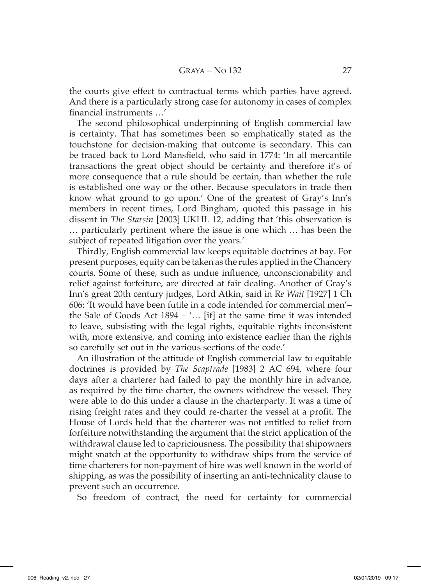the courts give effect to contractual terms which parties have agreed. And there is a particularly strong case for autonomy in cases of complex financial instruments …'

The second philosophical underpinning of English commercial law is certainty. That has sometimes been so emphatically stated as the touchstone for decision-making that outcome is secondary. This can be traced back to Lord Mansfield, who said in 1774: 'In all mercantile transactions the great object should be certainty and therefore it's of more consequence that a rule should be certain, than whether the rule is established one way or the other. Because speculators in trade then know what ground to go upon.' One of the greatest of Gray's Inn's members in recent times, Lord Bingham, quoted this passage in his dissent in *The Starsin* [2003] UKHL 12, adding that 'this observation is … particularly pertinent where the issue is one which … has been the subject of repeated litigation over the years.'

Thirdly, English commercial law keeps equitable doctrines at bay. For present purposes, equity can be taken as the rules applied in the Chancery courts. Some of these, such as undue influence, unconscionability and relief against forfeiture, are directed at fair dealing. Another of Gray's Inn's great 20th century judges, Lord Atkin, said in R*e Wait* [1927] 1 Ch 606: 'It would have been futile in a code intended for commercial men'– the Sale of Goods Act  $1894 - \ldots$  [if] at the same time it was intended to leave, subsisting with the legal rights, equitable rights inconsistent with, more extensive, and coming into existence earlier than the rights so carefully set out in the various sections of the code.'

An illustration of the attitude of English commercial law to equitable doctrines is provided by *The Scaptrade* [1983] 2 AC 694, where four days after a charterer had failed to pay the monthly hire in advance, as required by the time charter, the owners withdrew the vessel. They were able to do this under a clause in the charterparty. It was a time of rising freight rates and they could re-charter the vessel at a profit. The House of Lords held that the charterer was not entitled to relief from forfeiture notwithstanding the argument that the strict application of the withdrawal clause led to capriciousness. The possibility that shipowners might snatch at the opportunity to withdraw ships from the service of time charterers for non-payment of hire was well known in the world of shipping, as was the possibility of inserting an anti-technicality clause to prevent such an occurrence.

So freedom of contract, the need for certainty for commercial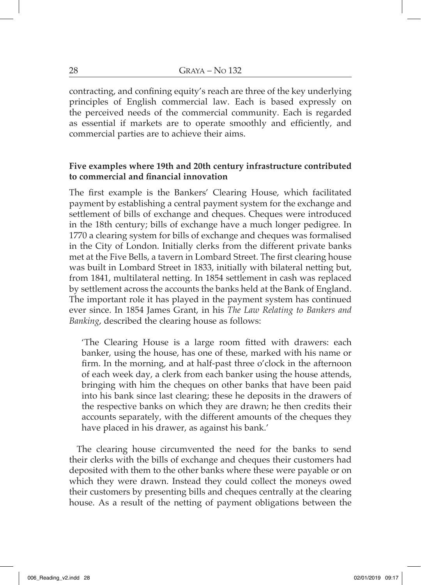contracting, and confining equity's reach are three of the key underlying principles of English commercial law. Each is based expressly on the perceived needs of the commercial community. Each is regarded as essential if markets are to operate smoothly and efficiently, and commercial parties are to achieve their aims.

### **Five examples where 19th and 20th century infrastructure contributed to commercial and financial innovation**

The first example is the Bankers' Clearing House, which facilitated payment by establishing a central payment system for the exchange and settlement of bills of exchange and cheques. Cheques were introduced in the 18th century; bills of exchange have a much longer pedigree. In 1770 a clearing system for bills of exchange and cheques was formalised in the City of London. Initially clerks from the different private banks met at the Five Bells, a tavern in Lombard Street. The first clearing house was built in Lombard Street in 1833, initially with bilateral netting but, from 1841, multilateral netting. In 1854 settlement in cash was replaced by settlement across the accounts the banks held at the Bank of England. The important role it has played in the payment system has continued ever since. In 1854 James Grant, in his *The Law Relating to Bankers and Banking*, described the clearing house as follows:

'The Clearing House is a large room fitted with drawers: each banker, using the house, has one of these, marked with his name or firm. In the morning, and at half-past three o'clock in the afternoon of each week day, a clerk from each banker using the house attends, bringing with him the cheques on other banks that have been paid into his bank since last clearing; these he deposits in the drawers of the respective banks on which they are drawn; he then credits their accounts separately, with the different amounts of the cheques they have placed in his drawer, as against his bank.'

The clearing house circumvented the need for the banks to send their clerks with the bills of exchange and cheques their customers had deposited with them to the other banks where these were payable or on which they were drawn. Instead they could collect the moneys owed their customers by presenting bills and cheques centrally at the clearing house. As a result of the netting of payment obligations between the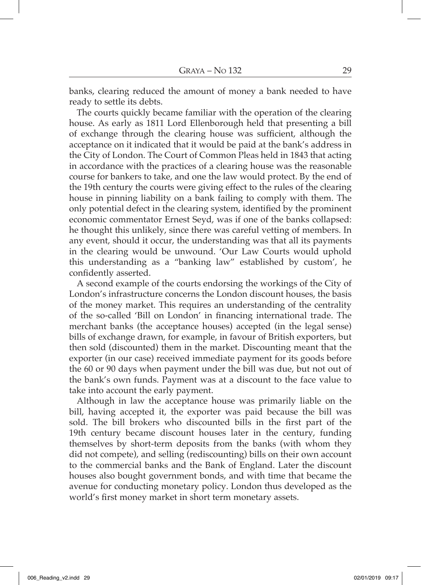banks, clearing reduced the amount of money a bank needed to have ready to settle its debts.

The courts quickly became familiar with the operation of the clearing house. As early as 1811 Lord Ellenborough held that presenting a bill of exchange through the clearing house was sufficient, although the acceptance on it indicated that it would be paid at the bank's address in the City of London. The Court of Common Pleas held in 1843 that acting in accordance with the practices of a clearing house was the reasonable course for bankers to take, and one the law would protect. By the end of the 19th century the courts were giving effect to the rules of the clearing house in pinning liability on a bank failing to comply with them. The only potential defect in the clearing system, identified by the prominent economic commentator Ernest Seyd, was if one of the banks collapsed: he thought this unlikely, since there was careful vetting of members. In any event, should it occur, the understanding was that all its payments in the clearing would be unwound. 'Our Law Courts would uphold this understanding as a "banking law" established by custom', he confidently asserted.

A second example of the courts endorsing the workings of the City of London's infrastructure concerns the London discount houses, the basis of the money market. This requires an understanding of the centrality of the so-called 'Bill on London' in financing international trade. The merchant banks (the acceptance houses) accepted (in the legal sense) bills of exchange drawn, for example, in favour of British exporters, but then sold (discounted) them in the market. Discounting meant that the exporter (in our case) received immediate payment for its goods before the 60 or 90 days when payment under the bill was due, but not out of the bank's own funds. Payment was at a discount to the face value to take into account the early payment.

Although in law the acceptance house was primarily liable on the bill, having accepted it, the exporter was paid because the bill was sold. The bill brokers who discounted bills in the first part of the 19th century became discount houses later in the century, funding themselves by short-term deposits from the banks (with whom they did not compete), and selling (rediscounting) bills on their own account to the commercial banks and the Bank of England. Later the discount houses also bought government bonds, and with time that became the avenue for conducting monetary policy. London thus developed as the world's first money market in short term monetary assets.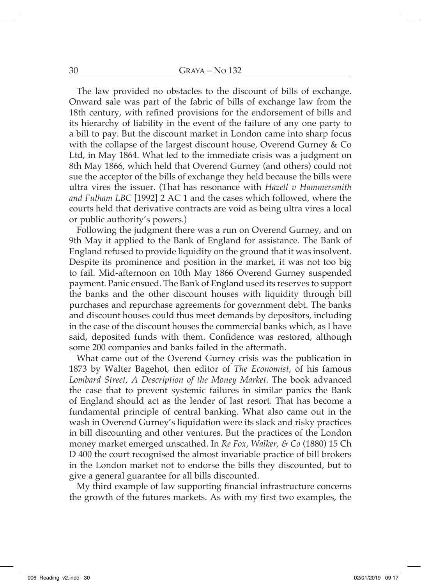The law provided no obstacles to the discount of bills of exchange. Onward sale was part of the fabric of bills of exchange law from the 18th century, with refined provisions for the endorsement of bills and its hierarchy of liability in the event of the failure of any one party to a bill to pay. But the discount market in London came into sharp focus with the collapse of the largest discount house, Overend Gurney & Co Ltd, in May 1864. What led to the immediate crisis was a judgment on 8th May 1866, which held that Overend Gurney (and others) could not sue the acceptor of the bills of exchange they held because the bills were ultra vires the issuer. (That has resonance with *Hazell v Hammersmith and Fulham LBC* [1992] 2 AC 1 and the cases which followed, where the courts held that derivative contracts are void as being ultra vires a local or public authority's powers.)

Following the judgment there was a run on Overend Gurney, and on 9th May it applied to the Bank of England for assistance. The Bank of England refused to provide liquidity on the ground that it was insolvent. Despite its prominence and position in the market, it was not too big to fail. Mid-afternoon on 10th May 1866 Overend Gurney suspended payment. Panic ensued. The Bank of England used its reserves to support the banks and the other discount houses with liquidity through bill purchases and repurchase agreements for government debt. The banks and discount houses could thus meet demands by depositors, including in the case of the discount houses the commercial banks which, as I have said, deposited funds with them. Confidence was restored, although some 200 companies and banks failed in the aftermath.

What came out of the Overend Gurney crisis was the publication in 1873 by Walter Bagehot, then editor of *The Economist*, of his famous *Lombard Street, A Description of the Money Market*. The book advanced the case that to prevent systemic failures in similar panics the Bank of England should act as the lender of last resort. That has become a fundamental principle of central banking. What also came out in the wash in Overend Gurney's liquidation were its slack and risky practices in bill discounting and other ventures. But the practices of the London money market emerged unscathed. In *Re Fox, Walker, & Co* (1880) 15 Ch D 400 the court recognised the almost invariable practice of bill brokers in the London market not to endorse the bills they discounted, but to give a general guarantee for all bills discounted.

My third example of law supporting financial infrastructure concerns the growth of the futures markets. As with my first two examples, the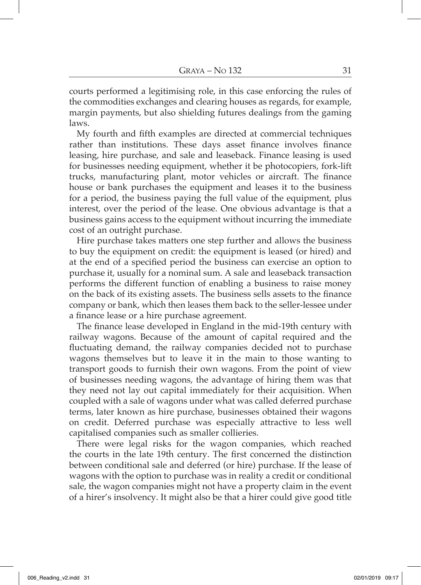courts performed a legitimising role, in this case enforcing the rules of the commodities exchanges and clearing houses as regards, for example, margin payments, but also shielding futures dealings from the gaming laws.

My fourth and fifth examples are directed at commercial techniques rather than institutions. These days asset finance involves finance leasing, hire purchase, and sale and leaseback. Finance leasing is used for businesses needing equipment, whether it be photocopiers, fork-lift trucks, manufacturing plant, motor vehicles or aircraft. The finance house or bank purchases the equipment and leases it to the business for a period, the business paying the full value of the equipment, plus interest, over the period of the lease. One obvious advantage is that a business gains access to the equipment without incurring the immediate cost of an outright purchase.

Hire purchase takes matters one step further and allows the business to buy the equipment on credit: the equipment is leased (or hired) and at the end of a specified period the business can exercise an option to purchase it, usually for a nominal sum. A sale and leaseback transaction performs the different function of enabling a business to raise money on the back of its existing assets. The business sells assets to the finance company or bank, which then leases them back to the seller-lessee under a finance lease or a hire purchase agreement.

The finance lease developed in England in the mid-19th century with railway wagons. Because of the amount of capital required and the fluctuating demand, the railway companies decided not to purchase wagons themselves but to leave it in the main to those wanting to transport goods to furnish their own wagons. From the point of view of businesses needing wagons, the advantage of hiring them was that they need not lay out capital immediately for their acquisition. When coupled with a sale of wagons under what was called deferred purchase terms, later known as hire purchase, businesses obtained their wagons on credit. Deferred purchase was especially attractive to less well capitalised companies such as smaller collieries.

There were legal risks for the wagon companies, which reached the courts in the late 19th century. The first concerned the distinction between conditional sale and deferred (or hire) purchase. If the lease of wagons with the option to purchase was in reality a credit or conditional sale, the wagon companies might not have a property claim in the event of a hirer's insolvency. It might also be that a hirer could give good title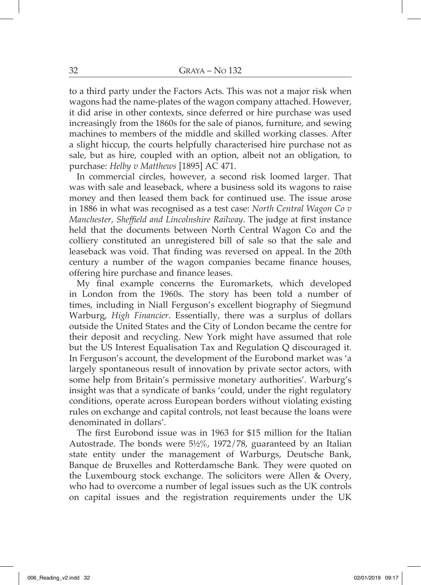to a third party under the Factors Acts. This was not a major risk when wagons had the name-plates of the wagon company attached. However, it did arise in other contexts, since deferred or hire purchase was used increasingly from the 1860s for the sale of pianos, furniture, and sewing machines to members of the middle and skilled working classes. After a slight hiccup, the courts helpfully characterised hire purchase not as sale, but as hire, coupled with an option, albeit not an obligation, to purchase: *Helby v Matthews* [1895] AC 471.

In commercial circles, however, a second risk loomed larger. That was with sale and leaseback, where a business sold its wagons to raise money and then leased them back for continued use. The issue arose in 1886 in what was recognised as a test case: *North Central Wagon Co v Manchester, Sheffield and Lincolnshire Railway*. The judge at first instance held that the documents between North Central Wagon Co and the colliery constituted an unregistered bill of sale so that the sale and leaseback was void. That finding was reversed on appeal. In the 20th century a number of the wagon companies became finance houses, offering hire purchase and finance leases.

My final example concerns the Euromarkets, which developed in London from the 1960s. The story has been told a number of times, including in Niall Ferguson's excellent biography of Siegmund Warburg, *High Financier*. Essentially, there was a surplus of dollars outside the United States and the City of London became the centre for their deposit and recycling. New York might have assumed that role but the US Interest Equalisation Tax and Regulation Q discouraged it. In Ferguson's account, the development of the Eurobond market was 'a largely spontaneous result of innovation by private sector actors, with some help from Britain's permissive monetary authorities'. Warburg's insight was that a syndicate of banks 'could, under the right regulatory conditions, operate across European borders without violating existing rules on exchange and capital controls, not least because the loans were denominated in dollars'.

The first Eurobond issue was in 1963 for \$15 million for the Italian Autostrade. The bonds were 5½%, 1972/78, guaranteed by an Italian state entity under the management of Warburgs, Deutsche Bank, Banque de Bruxelles and Rotterdamsche Bank. They were quoted on the Luxembourg stock exchange. The solicitors were Allen & Overy, who had to overcome a number of legal issues such as the UK controls on capital issues and the registration requirements under the UK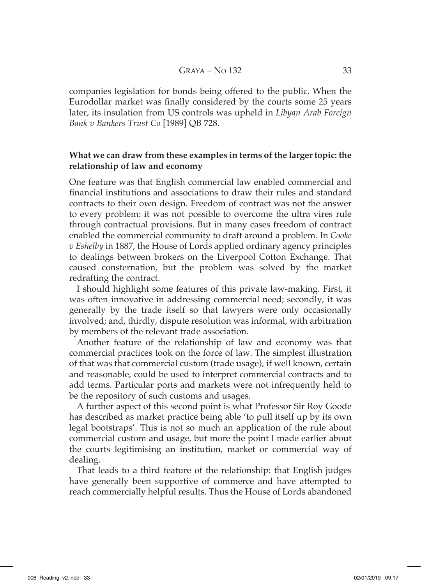companies legislation for bonds being offered to the public. When the Eurodollar market was finally considered by the courts some 25 years later, its insulation from US controls was upheld in *Libyan Arab Foreign Bank v Bankers Trust Co* [1989] QB 728.

## **What we can draw from these examples in terms of the larger topic: the relationship of law and economy**

One feature was that English commercial law enabled commercial and financial institutions and associations to draw their rules and standard contracts to their own design. Freedom of contract was not the answer to every problem: it was not possible to overcome the ultra vires rule through contractual provisions. But in many cases freedom of contract enabled the commercial community to draft around a problem. In *Cooke v Eshelby* in 1887, the House of Lords applied ordinary agency principles to dealings between brokers on the Liverpool Cotton Exchange. That caused consternation, but the problem was solved by the market redrafting the contract.

I should highlight some features of this private law-making. First, it was often innovative in addressing commercial need; secondly, it was generally by the trade itself so that lawyers were only occasionally involved; and, thirdly, dispute resolution was informal, with arbitration by members of the relevant trade association.

Another feature of the relationship of law and economy was that commercial practices took on the force of law. The simplest illustration of that was that commercial custom (trade usage), if well known, certain and reasonable, could be used to interpret commercial contracts and to add terms. Particular ports and markets were not infrequently held to be the repository of such customs and usages.

A further aspect of this second point is what Professor Sir Roy Goode has described as market practice being able 'to pull itself up by its own legal bootstraps'. This is not so much an application of the rule about commercial custom and usage, but more the point I made earlier about the courts legitimising an institution, market or commercial way of dealing.

That leads to a third feature of the relationship: that English judges have generally been supportive of commerce and have attempted to reach commercially helpful results. Thus the House of Lords abandoned